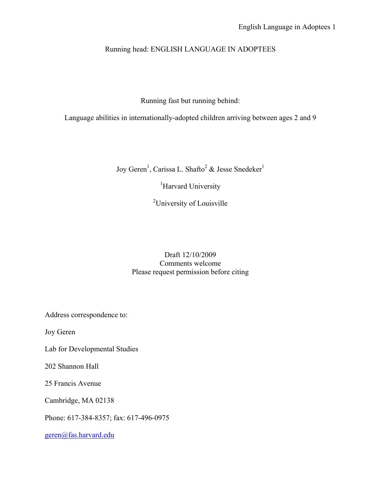## Running head: ENGLISH LANGUAGE IN ADOPTEES

Running fast but running behind:

Language abilities in internationally-adopted children arriving between ages 2 and 9

Joy Geren<sup>1</sup>, Carissa L. Shafto<sup>2</sup> & Jesse Snedeker<sup>1</sup>

<sup>1</sup>Harvard University

<sup>2</sup>University of Louisville

### Draft 12/10/2009 Comments welcome Please request permission before citing

Address correspondence to:

Joy Geren

Lab for Developmental Studies

202 Shannon Hall

25 Francis Avenue

Cambridge, MA 02138

Phone: 617-384-8357; fax: 617-496-0975

geren@fas.harvard.edu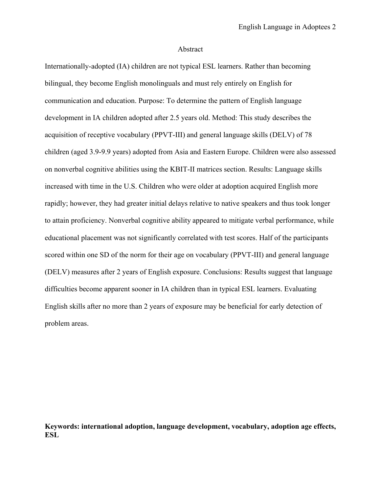#### Abstract

Internationally-adopted (IA) children are not typical ESL learners. Rather than becoming bilingual, they become English monolinguals and must rely entirely on English for communication and education. Purpose: To determine the pattern of English language development in IA children adopted after 2.5 years old. Method: This study describes the acquisition of receptive vocabulary (PPVT-III) and general language skills (DELV) of 78 children (aged 3.9-9.9 years) adopted from Asia and Eastern Europe. Children were also assessed on nonverbal cognitive abilities using the KBIT-II matrices section. Results: Language skills increased with time in the U.S. Children who were older at adoption acquired English more rapidly; however, they had greater initial delays relative to native speakers and thus took longer to attain proficiency. Nonverbal cognitive ability appeared to mitigate verbal performance, while educational placement was not significantly correlated with test scores. Half of the participants scored within one SD of the norm for their age on vocabulary (PPVT-III) and general language (DELV) measures after 2 years of English exposure. Conclusions: Results suggest that language difficulties become apparent sooner in IA children than in typical ESL learners. Evaluating English skills after no more than 2 years of exposure may be beneficial for early detection of problem areas.

**Keywords: international adoption, language development, vocabulary, adoption age effects, ESL**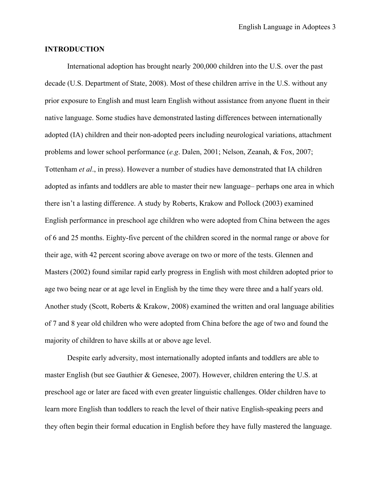#### **INTRODUCTION**

 International adoption has brought nearly 200,000 children into the U.S. over the past decade (U.S. Department of State, 2008). Most of these children arrive in the U.S. without any prior exposure to English and must learn English without assistance from anyone fluent in their native language. Some studies have demonstrated lasting differences between internationally adopted (IA) children and their non-adopted peers including neurological variations, attachment problems and lower school performance (*e.g*. Dalen, 2001; Nelson, Zeanah, & Fox, 2007; Tottenham *et al*., in press). However a number of studies have demonstrated that IA children adopted as infants and toddlers are able to master their new language– perhaps one area in which there isn't a lasting difference. A study by Roberts, Krakow and Pollock (2003) examined English performance in preschool age children who were adopted from China between the ages of 6 and 25 months. Eighty-five percent of the children scored in the normal range or above for their age, with 42 percent scoring above average on two or more of the tests. Glennen and Masters (2002) found similar rapid early progress in English with most children adopted prior to age two being near or at age level in English by the time they were three and a half years old. Another study (Scott, Roberts & Krakow, 2008) examined the written and oral language abilities of 7 and 8 year old children who were adopted from China before the age of two and found the majority of children to have skills at or above age level.

 Despite early adversity, most internationally adopted infants and toddlers are able to master English (but see Gauthier & Genesee, 2007). However, children entering the U.S. at preschool age or later are faced with even greater linguistic challenges. Older children have to learn more English than toddlers to reach the level of their native English-speaking peers and they often begin their formal education in English before they have fully mastered the language.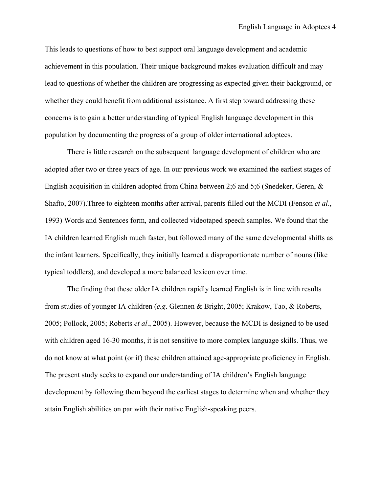This leads to questions of how to best support oral language development and academic achievement in this population. Their unique background makes evaluation difficult and may lead to questions of whether the children are progressing as expected given their background, or whether they could benefit from additional assistance. A first step toward addressing these concerns is to gain a better understanding of typical English language development in this population by documenting the progress of a group of older international adoptees.

 There is little research on the subsequent language development of children who are adopted after two or three years of age. In our previous work we examined the earliest stages of English acquisition in children adopted from China between 2;6 and 5;6 (Snedeker, Geren, & Shafto, 2007).Three to eighteen months after arrival, parents filled out the MCDI (Fenson *et al*., 1993) Words and Sentences form, and collected videotaped speech samples. We found that the IA children learned English much faster, but followed many of the same developmental shifts as the infant learners. Specifically, they initially learned a disproportionate number of nouns (like typical toddlers), and developed a more balanced lexicon over time.

The finding that these older IA children rapidly learned English is in line with results from studies of younger IA children (*e.g*. Glennen & Bright, 2005; Krakow, Tao, & Roberts, 2005; Pollock, 2005; Roberts *et al*., 2005). However, because the MCDI is designed to be used with children aged 16-30 months, it is not sensitive to more complex language skills. Thus, we do not know at what point (or if) these children attained age-appropriate proficiency in English. The present study seeks to expand our understanding of IA children's English language development by following them beyond the earliest stages to determine when and whether they attain English abilities on par with their native English-speaking peers.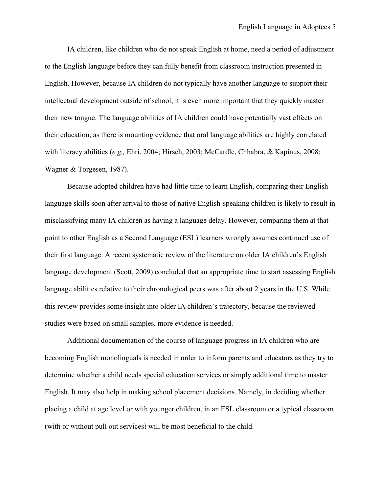IA children, like children who do not speak English at home, need a period of adjustment to the English language before they can fully benefit from classroom instruction presented in English. However, because IA children do not typically have another language to support their intellectual development outside of school, it is even more important that they quickly master their new tongue. The language abilities of IA children could have potentially vast effects on their education, as there is mounting evidence that oral language abilities are highly correlated with literacy abilities (*e.g.,* Ehri, 2004; Hirsch, 2003; McCardle, Chhabra, & Kapinus, 2008; Wagner & Torgesen, 1987).

Because adopted children have had little time to learn English, comparing their English language skills soon after arrival to those of native English-speaking children is likely to result in misclassifying many IA children as having a language delay. However, comparing them at that point to other English as a Second Language (ESL) learners wrongly assumes continued use of their first language. A recent systematic review of the literature on older IA children's English language development (Scott, 2009) concluded that an appropriate time to start assessing English language abilities relative to their chronological peers was after about 2 years in the U.S. While this review provides some insight into older IA children's trajectory, because the reviewed studies were based on small samples, more evidence is needed.

Additional documentation of the course of language progress in IA children who are becoming English monolinguals is needed in order to inform parents and educators as they try to determine whether a child needs special education services or simply additional time to master English. It may also help in making school placement decisions. Namely, in deciding whether placing a child at age level or with younger children, in an ESL classroom or a typical classroom (with or without pull out services) will be most beneficial to the child.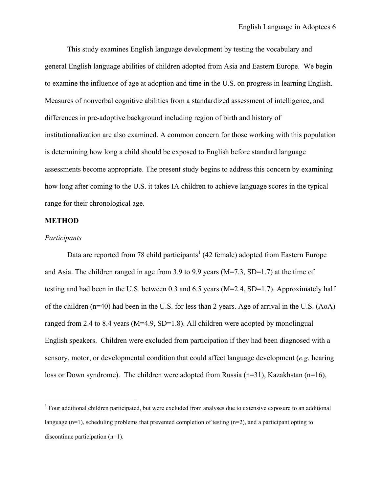This study examines English language development by testing the vocabulary and general English language abilities of children adopted from Asia and Eastern Europe. We begin to examine the influence of age at adoption and time in the U.S. on progress in learning English. Measures of nonverbal cognitive abilities from a standardized assessment of intelligence, and differences in pre-adoptive background including region of birth and history of institutionalization are also examined. A common concern for those working with this population is determining how long a child should be exposed to English before standard language assessments become appropriate. The present study begins to address this concern by examining how long after coming to the U.S. it takes IA children to achieve language scores in the typical range for their chronological age.

#### **METHOD**

#### *Participants*

Data are reported from 78 child participants<sup>1</sup> (42 female) adopted from Eastern Europe and Asia. The children ranged in age from 3.9 to 9.9 years (M=7.3, SD=1.7) at the time of testing and had been in the U.S. between 0.3 and 6.5 years (M=2.4, SD=1.7). Approximately half of the children (n=40) had been in the U.S. for less than 2 years. Age of arrival in the U.S. (AoA) ranged from 2.4 to 8.4 years (M=4.9, SD=1.8). All children were adopted by monolingual English speakers. Children were excluded from participation if they had been diagnosed with a sensory, motor, or developmental condition that could affect language development (*e.g*. hearing loss or Down syndrome). The children were adopted from Russia (n=31), Kazakhstan (n=16),

 1 Four additional children participated, but were excluded from analyses due to extensive exposure to an additional language  $(n=1)$ , scheduling problems that prevented completion of testing  $(n=2)$ , and a participant opting to discontinue participation (n=1).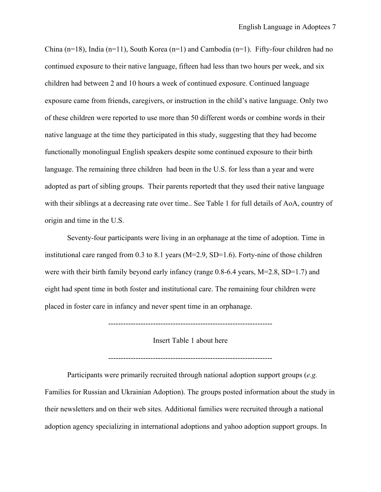China (n=18), India (n=11), South Korea (n=1) and Cambodia (n=1). Fifty-four children had no continued exposure to their native language, fifteen had less than two hours per week, and six children had between 2 and 10 hours a week of continued exposure. Continued language exposure came from friends, caregivers, or instruction in the child's native language. Only two of these children were reported to use more than 50 different words or combine words in their native language at the time they participated in this study, suggesting that they had become functionally monolingual English speakers despite some continued exposure to their birth language. The remaining three children had been in the U.S. for less than a year and were adopted as part of sibling groups. Their parents reportedt that they used their native language with their siblings at a decreasing rate over time.. See Table 1 for full details of AoA, country of origin and time in the U.S.

Seventy-four participants were living in an orphanage at the time of adoption. Time in institutional care ranged from 0.3 to 8.1 years (M=2.9, SD=1.6). Forty-nine of those children were with their birth family beyond early infancy (range 0.8-6.4 years, M=2.8, SD=1.7) and eight had spent time in both foster and institutional care. The remaining four children were placed in foster care in infancy and never spent time in an orphanage.

------------------------------------------------------------------

Insert Table 1 about here

------------------------------------------------------------------

Participants were primarily recruited through national adoption support groups (*e.g.* Families for Russian and Ukrainian Adoption). The groups posted information about the study in their newsletters and on their web sites. Additional families were recruited through a national adoption agency specializing in international adoptions and yahoo adoption support groups. In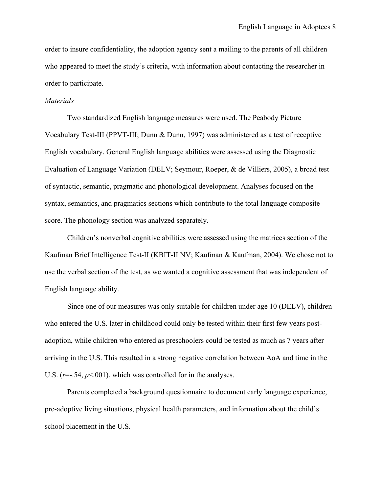order to insure confidentiality, the adoption agency sent a mailing to the parents of all children who appeared to meet the study's criteria, with information about contacting the researcher in order to participate.

#### *Materials*

Two standardized English language measures were used. The Peabody Picture Vocabulary Test-III (PPVT-III; Dunn & Dunn, 1997) was administered as a test of receptive English vocabulary. General English language abilities were assessed using the Diagnostic Evaluation of Language Variation (DELV; Seymour, Roeper, & de Villiers, 2005), a broad test of syntactic, semantic, pragmatic and phonological development. Analyses focused on the syntax, semantics, and pragmatics sections which contribute to the total language composite score. The phonology section was analyzed separately.

Children's nonverbal cognitive abilities were assessed using the matrices section of the Kaufman Brief Intelligence Test-II (KBIT-II NV; Kaufman & Kaufman, 2004). We chose not to use the verbal section of the test, as we wanted a cognitive assessment that was independent of English language ability.

Since one of our measures was only suitable for children under age 10 (DELV), children who entered the U.S. later in childhood could only be tested within their first few years postadoption, while children who entered as preschoolers could be tested as much as 7 years after arriving in the U.S. This resulted in a strong negative correlation between AoA and time in the U.S.  $(r=-.54, p<.001)$ , which was controlled for in the analyses.

Parents completed a background questionnaire to document early language experience, pre-adoptive living situations, physical health parameters, and information about the child's school placement in the U.S.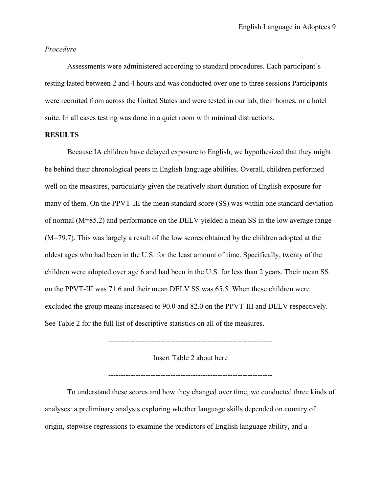#### *Procedure*

 Assessments were administered according to standard procedures. Each participant's testing lasted between 2 and 4 hours and was conducted over one to three sessions Participants were recruited from across the United States and were tested in our lab, their homes, or a hotel suite. In all cases testing was done in a quiet room with minimal distractions.

#### **RESULTS**

Because IA children have delayed exposure to English, we hypothesized that they might be behind their chronological peers in English language abilities. Overall, children performed well on the measures, particularly given the relatively short duration of English exposure for many of them. On the PPVT-III the mean standard score (SS) was within one standard deviation of normal (M=85.2) and performance on the DELV yielded a mean SS in the low average range (M=79.7). This was largely a result of the low scores obtained by the children adopted at the oldest ages who had been in the U.S. for the least amount of time. Specifically, twenty of the children were adopted over age 6 and had been in the U.S. for less than 2 years. Their mean SS on the PPVT-III was 71.6 and their mean DELV SS was 65.5. When these children were excluded the group means increased to 90.0 and 82.0 on the PPVT-III and DELV respectively. See Table 2 for the full list of descriptive statistics on all of the measures.

------------------------------------------------------------------

Insert Table 2 about here

------------------------------------------------------------------

To understand these scores and how they changed over time, we conducted three kinds of analyses: a preliminary analysis exploring whether language skills depended on country of origin, stepwise regressions to examine the predictors of English language ability, and a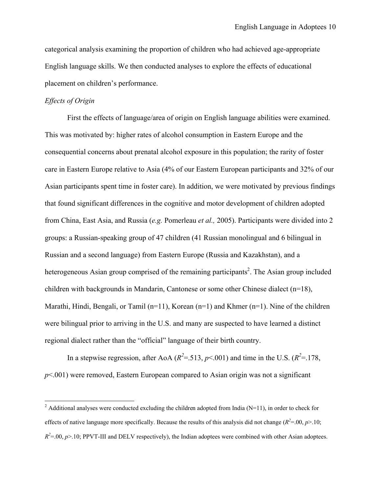categorical analysis examining the proportion of children who had achieved age-appropriate English language skills. We then conducted analyses to explore the effects of educational placement on children's performance.

#### *Effects of Origin*

First the effects of language/area of origin on English language abilities were examined. This was motivated by: higher rates of alcohol consumption in Eastern Europe and the consequential concerns about prenatal alcohol exposure in this population; the rarity of foster care in Eastern Europe relative to Asia (4% of our Eastern European participants and 32% of our Asian participants spent time in foster care). In addition, we were motivated by previous findings that found significant differences in the cognitive and motor development of children adopted from China, East Asia, and Russia (*e.g.* Pomerleau *et al.,* 2005). Participants were divided into 2 groups: a Russian-speaking group of 47 children (41 Russian monolingual and 6 bilingual in Russian and a second language) from Eastern Europe (Russia and Kazakhstan), and a heterogeneous Asian group comprised of the remaining participants<sup>2</sup>. The Asian group included children with backgrounds in Mandarin, Cantonese or some other Chinese dialect (n=18), Marathi, Hindi, Bengali, or Tamil (n=11), Korean (n=1) and Khmer (n=1). Nine of the children were bilingual prior to arriving in the U.S. and many are suspected to have learned a distinct regional dialect rather than the "official" language of their birth country.

In a stepwise regression, after AoA ( $R^2 = 0.513$ ,  $p \le 0.001$ ) and time in the U.S. ( $R^2 = 178$ , *p*<.001) were removed, Eastern European compared to Asian origin was not a significant

<sup>&</sup>lt;sup>2</sup> Additional analyses were conducted excluding the children adopted from India (N=11), in order to check for effects of native language more specifically. Because the results of this analysis did not change  $(R^2 = 0.0, p > 10;$  $R^2 = 0.00$ ,  $p > 0.10$ ; PPVT-III and DELV respectively), the Indian adoptees were combined with other Asian adoptees.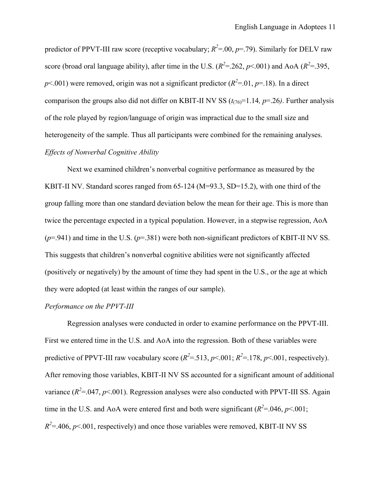predictor of PPVT-III raw score (receptive vocabulary;  $R^2 = 0.0$ ,  $p = .79$ ). Similarly for DELV raw score (broad oral language ability), after time in the U.S.  $(R^2 = 262, p < 001)$  and AoA  $(R^2 = 395,$  $p$ <.001) were removed, origin was not a significant predictor ( $R^2$ =.01,  $p$ =.18). In a direct comparison the groups also did not differ on KBIT-II NV SS  $(t_{(76)}=1.14, p=.26)$ . Further analysis of the role played by region/language of origin was impractical due to the small size and heterogeneity of the sample. Thus all participants were combined for the remaining analyses. *Effects of Nonverbal Cognitive Ability* 

Next we examined children's nonverbal cognitive performance as measured by the KBIT-II NV. Standard scores ranged from 65-124 (M=93.3, SD=15.2), with one third of the group falling more than one standard deviation below the mean for their age. This is more than twice the percentage expected in a typical population. However, in a stepwise regression, AoA (*p*=.941) and time in the U.S. (*p*=.381) were both non-significant predictors of KBIT-II NV SS. This suggests that children's nonverbal cognitive abilities were not significantly affected (positively or negatively) by the amount of time they had spent in the U.S., or the age at which they were adopted (at least within the ranges of our sample).

#### *Performance on the PPVT-III*

Regression analyses were conducted in order to examine performance on the PPVT-III. First we entered time in the U.S. and AoA into the regression. Both of these variables were predictive of PPVT-III raw vocabulary score  $(R^2 = 513, p < 0.01; R^2 = 178, p < 0.01$ , respectively). After removing those variables, KBIT-II NV SS accounted for a significant amount of additional variance  $(R^2 = .047, p < .001)$ . Regression analyses were also conducted with PPVT-III SS. Again time in the U.S. and AoA were entered first and both were significant  $(R^2 = 0.046, p \le 0.001;$  $R^2 = 0.406$ ,  $p < 0.01$ , respectively) and once those variables were removed, KBIT-II NV SS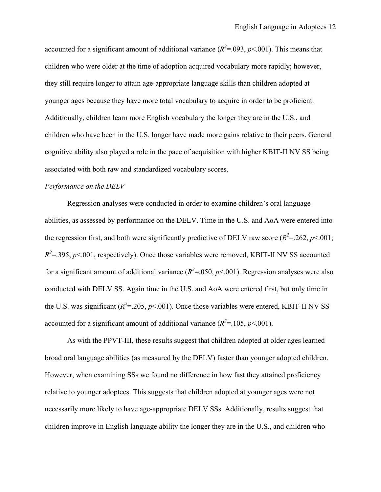accounted for a significant amount of additional variance  $(R^2 = 0.093, p \le 0.001)$ . This means that children who were older at the time of adoption acquired vocabulary more rapidly; however, they still require longer to attain age-appropriate language skills than children adopted at younger ages because they have more total vocabulary to acquire in order to be proficient. Additionally, children learn more English vocabulary the longer they are in the U.S., and children who have been in the U.S. longer have made more gains relative to their peers. General cognitive ability also played a role in the pace of acquisition with higher KBIT-II NV SS being associated with both raw and standardized vocabulary scores.

#### *Performance on the DELV*

Regression analyses were conducted in order to examine children's oral language abilities, as assessed by performance on the DELV. Time in the U.S. and AoA were entered into the regression first, and both were significantly predictive of DELV raw score  $(R^2 = 262, p < 001)$ ;  $R^2 = 0.395$ ,  $p \le 0.001$ , respectively). Once those variables were removed, KBIT-II NV SS accounted for a significant amount of additional variance  $(R^2 = 0.050, p < 0.001)$ . Regression analyses were also conducted with DELV SS. Again time in the U.S. and AoA were entered first, but only time in the U.S. was significant  $(R^2 = 0.205, p \le 0.01)$ . Once those variables were entered, KBIT-II NV SS accounted for a significant amount of additional variance  $(R^2 = 105, p < 001)$ .

As with the PPVT-III, these results suggest that children adopted at older ages learned broad oral language abilities (as measured by the DELV) faster than younger adopted children. However, when examining SSs we found no difference in how fast they attained proficiency relative to younger adoptees. This suggests that children adopted at younger ages were not necessarily more likely to have age-appropriate DELV SSs. Additionally, results suggest that children improve in English language ability the longer they are in the U.S., and children who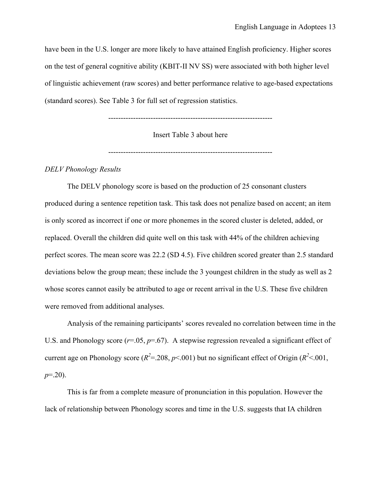have been in the U.S. longer are more likely to have attained English proficiency. Higher scores on the test of general cognitive ability (KBIT-II NV SS) were associated with both higher level of linguistic achievement (raw scores) and better performance relative to age-based expectations (standard scores). See Table 3 for full set of regression statistics.

------------------------------------------------------------------

Insert Table 3 about here

------------------------------------------------------------------

#### *DELV Phonology Results*

The DELV phonology score is based on the production of 25 consonant clusters produced during a sentence repetition task. This task does not penalize based on accent; an item is only scored as incorrect if one or more phonemes in the scored cluster is deleted, added, or replaced. Overall the children did quite well on this task with 44% of the children achieving perfect scores. The mean score was 22.2 (SD 4.5). Five children scored greater than 2.5 standard deviations below the group mean; these include the 3 youngest children in the study as well as 2 whose scores cannot easily be attributed to age or recent arrival in the U.S. These five children were removed from additional analyses.

 Analysis of the remaining participants' scores revealed no correlation between time in the U.S. and Phonology score  $(r=.05, p=.67)$ . A stepwise regression revealed a significant effect of current age on Phonology score ( $R^2$ =.208,  $p$ <.001) but no significant effect of Origin ( $R^2$  <.001, *p*=.20).

 This is far from a complete measure of pronunciation in this population. However the lack of relationship between Phonology scores and time in the U.S. suggests that IA children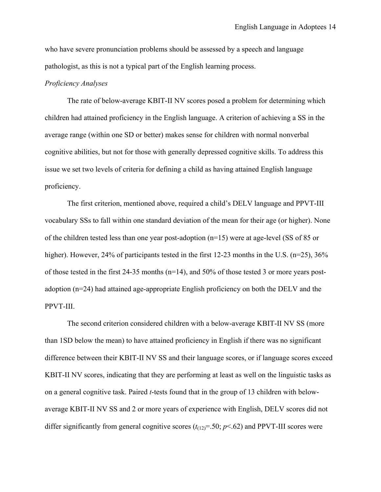who have severe pronunciation problems should be assessed by a speech and language pathologist, as this is not a typical part of the English learning process.

#### *Proficiency Analyses*

The rate of below-average KBIT-II NV scores posed a problem for determining which children had attained proficiency in the English language. A criterion of achieving a SS in the average range (within one SD or better) makes sense for children with normal nonverbal cognitive abilities, but not for those with generally depressed cognitive skills. To address this issue we set two levels of criteria for defining a child as having attained English language proficiency.

The first criterion, mentioned above, required a child's DELV language and PPVT-III vocabulary SSs to fall within one standard deviation of the mean for their age (or higher). None of the children tested less than one year post-adoption  $(n=15)$  were at age-level (SS of 85 or higher). However, 24% of participants tested in the first 12-23 months in the U.S. (n=25), 36% of those tested in the first 24-35 months ( $n=14$ ), and 50% of those tested 3 or more years postadoption (n=24) had attained age-appropriate English proficiency on both the DELV and the PPVT-III.

The second criterion considered children with a below-average KBIT-II NV SS (more than 1SD below the mean) to have attained proficiency in English if there was no significant difference between their KBIT-II NV SS and their language scores, or if language scores exceed KBIT-II NV scores, indicating that they are performing at least as well on the linguistic tasks as on a general cognitive task. Paired *t*-tests found that in the group of 13 children with belowaverage KBIT-II NV SS and 2 or more years of experience with English, DELV scores did not differ significantly from general cognitive scores  $(t_{12})$ =.50;  $p$ <.62) and PPVT-III scores were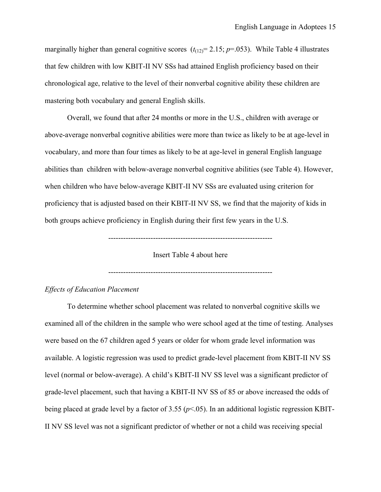marginally higher than general cognitive scores  $(t_{(12)}=2.15; p=.053)$ . While Table 4 illustrates that few children with low KBIT-II NV SSs had attained English proficiency based on their chronological age, relative to the level of their nonverbal cognitive ability these children are mastering both vocabulary and general English skills.

Overall, we found that after 24 months or more in the U.S., children with average or above-average nonverbal cognitive abilities were more than twice as likely to be at age-level in vocabulary, and more than four times as likely to be at age-level in general English language abilities than children with below-average nonverbal cognitive abilities (see Table 4). However, when children who have below-average KBIT-II NV SSs are evaluated using criterion for proficiency that is adjusted based on their KBIT-II NV SS, we find that the majority of kids in both groups achieve proficiency in English during their first few years in the U.S.

------------------------------------------------------------------

Insert Table 4 about here

------------------------------------------------------------------

#### *Effects of Education Placement*

To determine whether school placement was related to nonverbal cognitive skills we examined all of the children in the sample who were school aged at the time of testing. Analyses were based on the 67 children aged 5 years or older for whom grade level information was available. A logistic regression was used to predict grade-level placement from KBIT-II NV SS level (normal or below-average). A child's KBIT-II NV SS level was a significant predictor of grade-level placement, such that having a KBIT-II NV SS of 85 or above increased the odds of being placed at grade level by a factor of 3.55 (*p*<.05). In an additional logistic regression KBIT-II NV SS level was not a significant predictor of whether or not a child was receiving special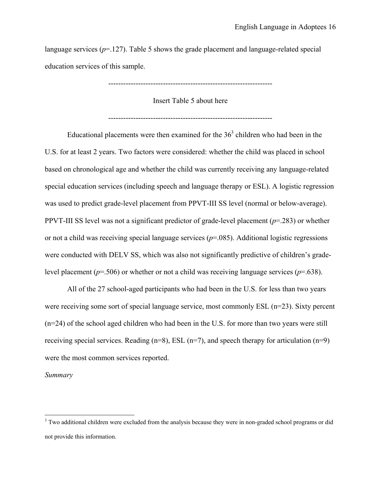language services  $(p=127)$ . Table 5 shows the grade placement and language-related special education services of this sample.

------------------------------------------------------------------

Insert Table 5 about here

------------------------------------------------------------------

Educational placements were then examined for the  $36<sup>3</sup>$  children who had been in the U.S. for at least 2 years. Two factors were considered: whether the child was placed in school based on chronological age and whether the child was currently receiving any language-related special education services (including speech and language therapy or ESL). A logistic regression was used to predict grade-level placement from PPVT-III SS level (normal or below-average). PPVT-III SS level was not a significant predictor of grade-level placement (*p*=.283) or whether or not a child was receiving special language services (*p*=.085). Additional logistic regressions were conducted with DELV SS, which was also not significantly predictive of children's gradelevel placement ( $p=506$ ) or whether or not a child was receiving language services ( $p=0.638$ ).

All of the 27 school-aged participants who had been in the U.S. for less than two years were receiving some sort of special language service, most commonly ESL (n=23). Sixty percent (n=24) of the school aged children who had been in the U.S. for more than two years were still receiving special services. Reading  $(n=8)$ , ESL  $(n=7)$ , and speech therapy for articulation  $(n=9)$ were the most common services reported.

#### *Summary*

<u>.</u>

 $3$  Two additional children were excluded from the analysis because they were in non-graded school programs or did not provide this information.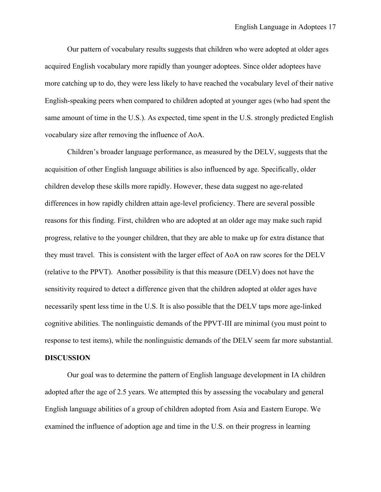Our pattern of vocabulary results suggests that children who were adopted at older ages acquired English vocabulary more rapidly than younger adoptees. Since older adoptees have more catching up to do, they were less likely to have reached the vocabulary level of their native English-speaking peers when compared to children adopted at younger ages (who had spent the same amount of time in the U.S.). As expected, time spent in the U.S. strongly predicted English vocabulary size after removing the influence of AoA.

 Children's broader language performance, as measured by the DELV, suggests that the acquisition of other English language abilities is also influenced by age. Specifically, older children develop these skills more rapidly. However, these data suggest no age-related differences in how rapidly children attain age-level proficiency. There are several possible reasons for this finding. First, children who are adopted at an older age may make such rapid progress, relative to the younger children, that they are able to make up for extra distance that they must travel. This is consistent with the larger effect of AoA on raw scores for the DELV (relative to the PPVT). Another possibility is that this measure (DELV) does not have the sensitivity required to detect a difference given that the children adopted at older ages have necessarily spent less time in the U.S. It is also possible that the DELV taps more age-linked cognitive abilities. The nonlinguistic demands of the PPVT-III are minimal (you must point to response to test items), while the nonlinguistic demands of the DELV seem far more substantial.

#### **DISCUSSION**

Our goal was to determine the pattern of English language development in IA children adopted after the age of 2.5 years. We attempted this by assessing the vocabulary and general English language abilities of a group of children adopted from Asia and Eastern Europe. We examined the influence of adoption age and time in the U.S. on their progress in learning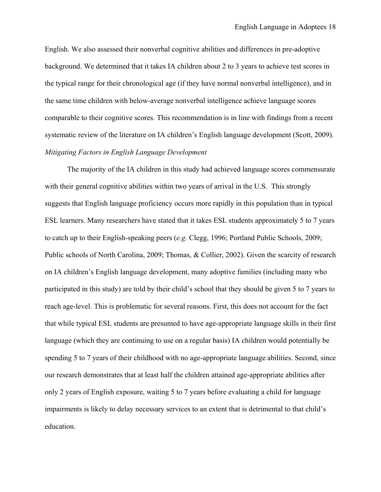English. We also assessed their nonverbal cognitive abilities and differences in pre-adoptive background. We determined that it takes IA children about 2 to 3 years to achieve test scores in the typical range for their chronological age (if they have normal nonverbal intelligence), and in the same time children with below-average nonverbal intelligence achieve language scores comparable to their cognitive scores. This recommendation is in line with findings from a recent systematic review of the literature on IA children's English language development (Scott, 2009). *Mitigating Factors in English Language Development* 

The majority of the IA children in this study had achieved language scores commensurate with their general cognitive abilities within two years of arrival in the U.S. This strongly suggests that English language proficiency occurs more rapidly in this population than in typical ESL learners. Many researchers have stated that it takes ESL students approximately 5 to 7 years to catch up to their English-speaking peers (*e.g.* Clegg, 1996; Portland Public Schools, 2009; Public schools of North Carolina, 2009; Thomas, & Collier, 2002). Given the scarcity of research on IA children's English language development, many adoptive families (including many who participated in this study) are told by their child's school that they should be given 5 to 7 years to reach age-level. This is problematic for several reasons. First, this does not account for the fact that while typical ESL students are presumed to have age-appropriate language skills in their first language (which they are continuing to use on a regular basis) IA children would potentially be spending 5 to 7 years of their childhood with no age-appropriate language abilities. Second, since our research demonstrates that at least half the children attained age-appropriate abilities after only 2 years of English exposure, waiting 5 to 7 years before evaluating a child for language impairments is likely to delay necessary services to an extent that is detrimental to that child's education.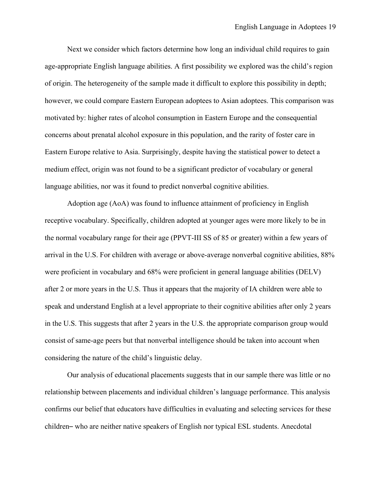Next we consider which factors determine how long an individual child requires to gain age-appropriate English language abilities. A first possibility we explored was the child's region of origin. The heterogeneity of the sample made it difficult to explore this possibility in depth; however, we could compare Eastern European adoptees to Asian adoptees. This comparison was motivated by: higher rates of alcohol consumption in Eastern Europe and the consequential concerns about prenatal alcohol exposure in this population, and the rarity of foster care in Eastern Europe relative to Asia. Surprisingly, despite having the statistical power to detect a medium effect, origin was not found to be a significant predictor of vocabulary or general language abilities, nor was it found to predict nonverbal cognitive abilities.

Adoption age (AoA) was found to influence attainment of proficiency in English receptive vocabulary. Specifically, children adopted at younger ages were more likely to be in the normal vocabulary range for their age (PPVT-III SS of 85 or greater) within a few years of arrival in the U.S. For children with average or above-average nonverbal cognitive abilities, 88% were proficient in vocabulary and 68% were proficient in general language abilities (DELV) after 2 or more years in the U.S. Thus it appears that the majority of IA children were able to speak and understand English at a level appropriate to their cognitive abilities after only 2 years in the U.S. This suggests that after 2 years in the U.S. the appropriate comparison group would consist of same-age peers but that nonverbal intelligence should be taken into account when considering the nature of the child's linguistic delay.

 Our analysis of educational placements suggests that in our sample there was little or no relationship between placements and individual children's language performance. This analysis confirms our belief that educators have difficulties in evaluating and selecting services for these children– who are neither native speakers of English nor typical ESL students. Anecdotal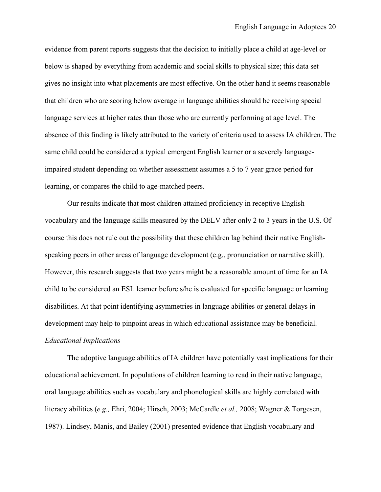evidence from parent reports suggests that the decision to initially place a child at age-level or below is shaped by everything from academic and social skills to physical size; this data set gives no insight into what placements are most effective. On the other hand it seems reasonable that children who are scoring below average in language abilities should be receiving special language services at higher rates than those who are currently performing at age level. The absence of this finding is likely attributed to the variety of criteria used to assess IA children. The same child could be considered a typical emergent English learner or a severely languageimpaired student depending on whether assessment assumes a 5 to 7 year grace period for learning, or compares the child to age-matched peers.

Our results indicate that most children attained proficiency in receptive English vocabulary and the language skills measured by the DELV after only 2 to 3 years in the U.S. Of course this does not rule out the possibility that these children lag behind their native Englishspeaking peers in other areas of language development (e.g., pronunciation or narrative skill). However, this research suggests that two years might be a reasonable amount of time for an IA child to be considered an ESL learner before s/he is evaluated for specific language or learning disabilities. At that point identifying asymmetries in language abilities or general delays in development may help to pinpoint areas in which educational assistance may be beneficial. *Educational Implications* 

The adoptive language abilities of IA children have potentially vast implications for their educational achievement. In populations of children learning to read in their native language, oral language abilities such as vocabulary and phonological skills are highly correlated with literacy abilities (*e.g.,* Ehri, 2004; Hirsch, 2003; McCardle *et al.,* 2008; Wagner & Torgesen, 1987). Lindsey, Manis, and Bailey (2001) presented evidence that English vocabulary and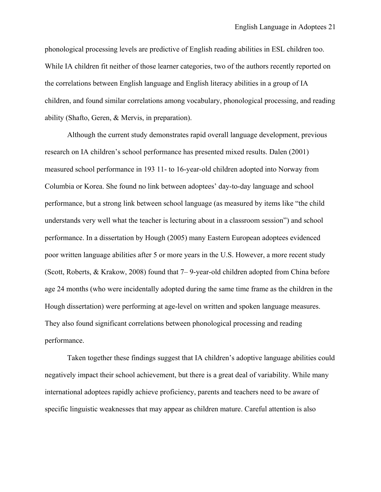phonological processing levels are predictive of English reading abilities in ESL children too. While IA children fit neither of those learner categories, two of the authors recently reported on the correlations between English language and English literacy abilities in a group of IA children, and found similar correlations among vocabulary, phonological processing, and reading ability (Shafto, Geren, & Mervis, in preparation).

Although the current study demonstrates rapid overall language development, previous research on IA children's school performance has presented mixed results. Dalen (2001) measured school performance in 193 11- to 16-year-old children adopted into Norway from Columbia or Korea. She found no link between adoptees' day-to-day language and school performance, but a strong link between school language (as measured by items like "the child understands very well what the teacher is lecturing about in a classroom session") and school performance. In a dissertation by Hough (2005) many Eastern European adoptees evidenced poor written language abilities after 5 or more years in the U.S. However, a more recent study (Scott, Roberts, & Krakow, 2008) found that 7– 9-year-old children adopted from China before age 24 months (who were incidentally adopted during the same time frame as the children in the Hough dissertation) were performing at age-level on written and spoken language measures. They also found significant correlations between phonological processing and reading performance.

Taken together these findings suggest that IA children's adoptive language abilities could negatively impact their school achievement, but there is a great deal of variability. While many international adoptees rapidly achieve proficiency, parents and teachers need to be aware of specific linguistic weaknesses that may appear as children mature. Careful attention is also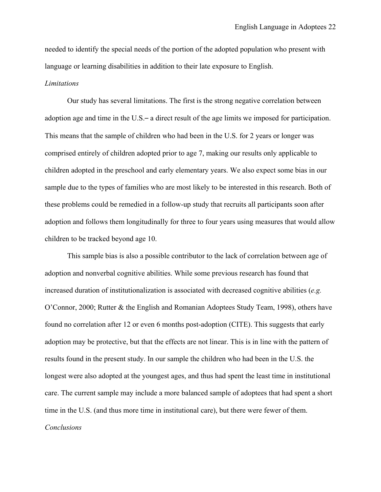needed to identify the special needs of the portion of the adopted population who present with language or learning disabilities in addition to their late exposure to English.

#### *Limitations*

Our study has several limitations. The first is the strong negative correlation between adoption age and time in the U.S.– a direct result of the age limits we imposed for participation. This means that the sample of children who had been in the U.S. for 2 years or longer was comprised entirely of children adopted prior to age 7, making our results only applicable to children adopted in the preschool and early elementary years. We also expect some bias in our sample due to the types of families who are most likely to be interested in this research. Both of these problems could be remedied in a follow-up study that recruits all participants soon after adoption and follows them longitudinally for three to four years using measures that would allow children to be tracked beyond age 10.

 This sample bias is also a possible contributor to the lack of correlation between age of adoption and nonverbal cognitive abilities. While some previous research has found that increased duration of institutionalization is associated with decreased cognitive abilities (*e.g.* O'Connor, 2000; Rutter & the English and Romanian Adoptees Study Team, 1998), others have found no correlation after 12 or even 6 months post-adoption (CITE). This suggests that early adoption may be protective, but that the effects are not linear. This is in line with the pattern of results found in the present study. In our sample the children who had been in the U.S. the longest were also adopted at the youngest ages, and thus had spent the least time in institutional care. The current sample may include a more balanced sample of adoptees that had spent a short time in the U.S. (and thus more time in institutional care), but there were fewer of them. *Conclusions*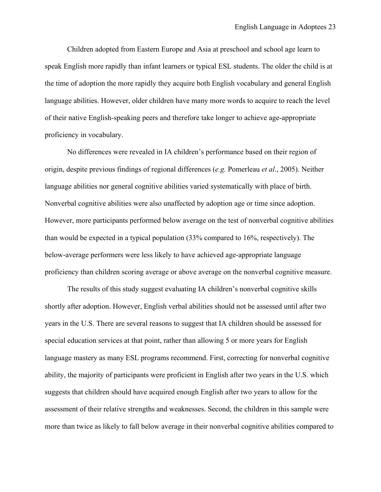Children adopted from Eastern Europe and Asia at preschool and school age learn to speak English more rapidly than infant learners or typical ESL students. The older the child is at the time of adoption the more rapidly they acquire both English vocabulary and general English language abilities. However, older children have many more words to acquire to reach the level of their native English-speaking peers and therefore take longer to achieve age-appropriate proficiency in vocabulary.

 No differences were revealed in IA children's performance based on their region of origin, despite previous findings of regional differences (*e.g.* Pomerleau *et al*., 2005). Neither language abilities nor general cognitive abilities varied systematically with place of birth. Nonverbal cognitive abilities were also unaffected by adoption age or time since adoption. However, more participants performed below average on the test of nonverbal cognitive abilities than would be expected in a typical population (33% compared to 16%, respectively). The below-average performers were less likely to have achieved age-appropriate language proficiency than children scoring average or above average on the nonverbal cognitive measure.

 The results of this study suggest evaluating IA children's nonverbal cognitive skills shortly after adoption. However, English verbal abilities should not be assessed until after two years in the U.S. There are several reasons to suggest that IA children should be assessed for special education services at that point, rather than allowing 5 or more years for English language mastery as many ESL programs recommend. First, correcting for nonverbal cognitive ability, the majority of participants were proficient in English after two years in the U.S. which suggests that children should have acquired enough English after two years to allow for the assessment of their relative strengths and weaknesses. Second, the children in this sample were more than twice as likely to fall below average in their nonverbal cognitive abilities compared to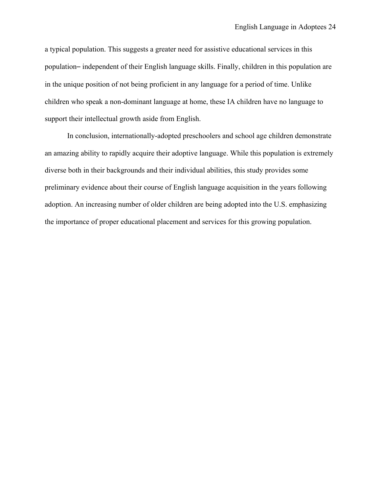a typical population. This suggests a greater need for assistive educational services in this population– independent of their English language skills. Finally, children in this population are in the unique position of not being proficient in any language for a period of time. Unlike children who speak a non-dominant language at home, these IA children have no language to support their intellectual growth aside from English.

 In conclusion, internationally-adopted preschoolers and school age children demonstrate an amazing ability to rapidly acquire their adoptive language. While this population is extremely diverse both in their backgrounds and their individual abilities, this study provides some preliminary evidence about their course of English language acquisition in the years following adoption. An increasing number of older children are being adopted into the U.S. emphasizing the importance of proper educational placement and services for this growing population.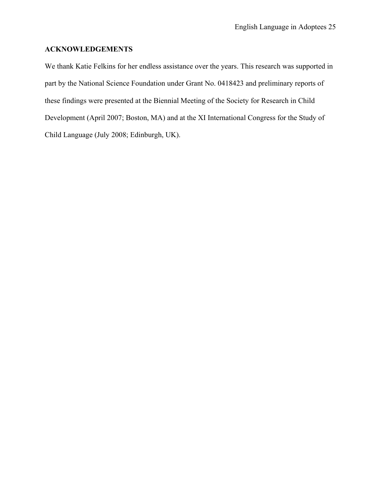### **ACKNOWLEDGEMENTS**

We thank Katie Felkins for her endless assistance over the years. This research was supported in part by the National Science Foundation under Grant No. 0418423 and preliminary reports of these findings were presented at the Biennial Meeting of the Society for Research in Child Development (April 2007; Boston, MA) and at the XI International Congress for the Study of Child Language (July 2008; Edinburgh, UK).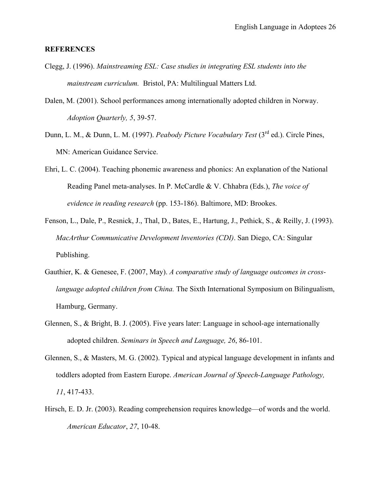#### **REFERENCES**

- Clegg, J. (1996). *Mainstreaming ESL: Case studies in integrating ESL students into the mainstream curriculum.* Bristol, PA: Multilingual Matters Ltd.
- Dalen, M. (2001). School performances among internationally adopted children in Norway. *Adoption Quarterly, 5*, 39-57.
- Dunn, L. M., & Dunn, L. M. (1997). *Peabody Picture Vocabulary Test* (3rd ed.). Circle Pines, MN: American Guidance Service.
- Ehri, L. C. (2004). Teaching phonemic awareness and phonics: An explanation of the National Reading Panel meta-analyses. In P. McCardle & V. Chhabra (Eds.), *The voice of evidence in reading research* (pp. 153-186). Baltimore, MD: Brookes.
- Fenson, L., Dale, P., Resnick, J., Thal, D., Bates, E., Hartung, J., Pethick, S., & Reilly, J. (1993). *MacArthur Communicative Development lnventories (CDI)*. San Diego, CA: Singular Publishing.
- Gauthier, K. & Genesee, F. (2007, May). *A comparative study of language outcomes in crosslanguage adopted children from China.* The Sixth International Symposium on Bilingualism, Hamburg, Germany.
- Glennen, S., & Bright, B. J. (2005). Five years later: Language in school-age internationally adopted children. *Seminars in Speech and Language, 26*, 86-101.
- Glennen, S., & Masters, M. G. (2002). Typical and atypical language development in infants and toddlers adopted from Eastern Europe. *American Journal of Speech-Language Pathology, 11*, 417-433.
- Hirsch, E. D. Jr. (2003). Reading comprehension requires knowledge—of words and the world. *American Educator*, *27*, 10-48.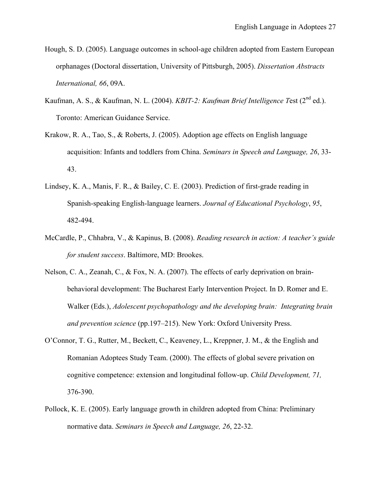- Hough, S. D. (2005). Language outcomes in school-age children adopted from Eastern European orphanages (Doctoral dissertation, University of Pittsburgh, 2005). *Dissertation Abstracts International, 66*, 09A.
- Kaufman, A. S., & Kaufman, N. L. (2004). *KBIT-2: Kaufman Brief Intelligence T*est (2nd ed.). Toronto: American Guidance Service.
- Krakow, R. A., Tao, S., & Roberts, J. (2005). Adoption age effects on English language acquisition: Infants and toddlers from China. *Seminars in Speech and Language, 26*, 33- 43.
- Lindsey, K. A., Manis, F. R., & Bailey, C. E. (2003). Prediction of first-grade reading in Spanish-speaking English-language learners. *Journal of Educational Psychology*, *95*, 482-494.
- McCardle, P., Chhabra, V., & Kapinus, B. (2008). *Reading research in action: A teacher's guide for student success*. Baltimore, MD: Brookes.
- Nelson, C. A., Zeanah, C., & Fox, N. A. (2007). The effects of early deprivation on brainbehavioral development: The Bucharest Early Intervention Project. In D. Romer and E. Walker (Eds.), *Adolescent psychopathology and the developing brain: Integrating brain and prevention science* (pp.197–215). New York: Oxford University Press.
- O'Connor, T. G., Rutter, M., Beckett, C., Keaveney, L., Kreppner, J. M., & the English and Romanian Adoptees Study Team. (2000). The effects of global severe privation on cognitive competence: extension and longitudinal follow-up. *Child Development, 71,*  376-390.
- Pollock, K. E. (2005). Early language growth in children adopted from China: Preliminary normative data. *Seminars in Speech and Language, 26*, 22-32.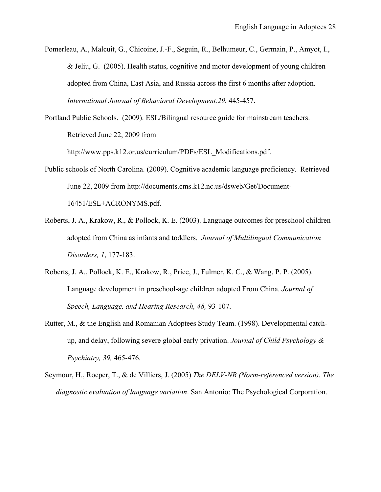Pomerleau, A., Malcuit, G., Chicoine, J.-F., Seguin, R., Belhumeur, C., Germain, P., Amyot, I., & Jeliu, G. (2005). Health status, cognitive and motor development of young children adopted from China, East Asia, and Russia across the first 6 months after adoption. *International Journal of Behavioral Development.29*, 445-457.

Portland Public Schools. (2009). ESL/Bilingual resource guide for mainstream teachers. Retrieved June 22, 2009 from

http://www.pps.k12.or.us/curriculum/PDFs/ESL\_Modifications.pdf.

- Public schools of North Carolina. (2009). Cognitive academic language proficiency. Retrieved June 22, 2009 from http://documents.cms.k12.nc.us/dsweb/Get/Document-16451/ESL+ACRONYMS.pdf.
- Roberts, J. A., Krakow, R., & Pollock, K. E. (2003). Language outcomes for preschool children adopted from China as infants and toddlers. *Journal of Multilingual Communication Disorders, 1*, 177-183.
- Roberts, J. A., Pollock, K. E., Krakow, R., Price, J., Fulmer, K. C., & Wang, P. P. (2005). Language development in preschool-age children adopted From China. *Journal of Speech, Language, and Hearing Research, 48,* 93-107.
- Rutter, M., & the English and Romanian Adoptees Study Team. (1998). Developmental catchup, and delay, following severe global early privation. *Journal of Child Psychology & Psychiatry, 39,* 465-476.
- Seymour, H., Roeper, T., & de Villiers, J. (2005) *The DELV-NR (Norm-referenced version). The diagnostic evaluation of language variation*. San Antonio: The Psychological Corporation.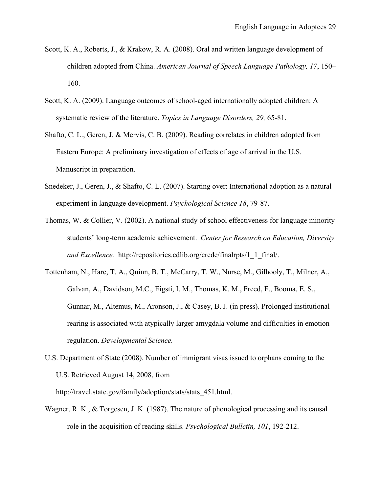- Scott, K. A., Roberts, J., & Krakow, R. A. (2008). Oral and written language development of children adopted from China. *American Journal of Speech Language Pathology, 17*, 150– 160.
- Scott, K. A. (2009). Language outcomes of school-aged internationally adopted children: A systematic review of the literature. *Topics in Language Disorders, 29,* 65-81.
- Shafto, C. L., Geren, J. & Mervis, C. B. (2009). Reading correlates in children adopted from Eastern Europe: A preliminary investigation of effects of age of arrival in the U.S. Manuscript in preparation.
- Snedeker, J., Geren, J., & Shafto, C. L. (2007). Starting over: International adoption as a natural experiment in language development. *Psychological Science 18*, 79-87.
- Thomas, W. & Collier, V. (2002). A national study of school effectiveness for language minority students' long-term academic achievement. *Center for Research on Education, Diversity and Excellence.* http://repositories.cdlib.org/crede/finalrpts/1\_1\_final/.
- Tottenham, N., Hare, T. A., Quinn, B. T., McCarry, T. W., Nurse, M., Gilhooly, T., Milner, A., Galvan, A., Davidson, M.C., Eigsti, I. M., Thomas, K. M., Freed, F., Booma, E. S., Gunnar, M., Altemus, M., Aronson, J., & Casey, B. J. (in press). Prolonged institutional rearing is associated with atypically larger amygdala volume and difficulties in emotion regulation. *Developmental Science.*
- U.S. Department of State (2008). Number of immigrant visas issued to orphans coming to the U.S. Retrieved August 14, 2008, from

http://travel.state.gov/family/adoption/stats/stats 451.html.

Wagner, R. K., & Torgesen, J. K. (1987). The nature of phonological processing and its causal role in the acquisition of reading skills. *Psychological Bulletin, 101*, 192-212.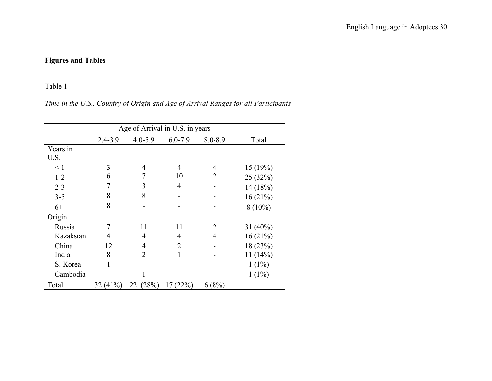# **Figures and Tables**

## Table 1

## *Time in the U.S., Country of Origin and Age of Arrival Ranges for all Participants*

|           | Age of Arrival in U.S. in years |             |                |                |             |  |  |
|-----------|---------------------------------|-------------|----------------|----------------|-------------|--|--|
|           | $2.4 - 3.9$                     | $4.0 - 5.9$ | $6.0 - 7.9$    | $8.0 - 8.9$    | Total       |  |  |
| Years in  |                                 |             |                |                |             |  |  |
| U.S.      |                                 |             |                |                |             |  |  |
| $\leq 1$  | 3                               | 4           | 4              | 4              | 15(19%)     |  |  |
| $1 - 2$   | 6                               | 7           | 10             | 2              | 25 (32%)    |  |  |
| $2 - 3$   | 7                               | 3           | $\overline{4}$ |                | 14 (18%)    |  |  |
| $3 - 5$   | 8                               | 8           |                |                | 16(21%)     |  |  |
| $6+$      | 8                               |             |                |                | $8(10\%)$   |  |  |
| Origin    |                                 |             |                |                |             |  |  |
| Russia    | 7                               | 11          | 11             | $\overline{2}$ | 31 $(40\%)$ |  |  |
| Kazakstan | 4                               | 4           | 4              | $\overline{4}$ | 16(21%)     |  |  |
| China     | 12                              | 4           | 2              |                | 18 (23%)    |  |  |
| India     | 8                               | 2           |                |                | 11(14%)     |  |  |
| S. Korea  |                                 |             |                |                | $1(1\%)$    |  |  |
| Cambodia  |                                 |             |                |                | $1(1\%)$    |  |  |
| Total     | $32(41\%)$                      | 22(28%)     | 17(22%)        | 6(8%)          |             |  |  |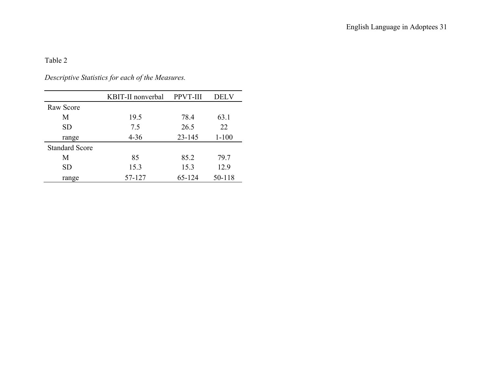*Descriptive Statistics for each of the Measures.* 

|                       | KBIT-II nonverbal | PPVT-III   | <b>DELV</b> |
|-----------------------|-------------------|------------|-------------|
| Raw Score             |                   |            |             |
| М                     | 19.5              | 78.4       | 63.1        |
| <b>SD</b>             | 7.5               | 26.5       | 22          |
| range                 | $4 - 36$          | $23 - 145$ | $1 - 100$   |
| <b>Standard Score</b> |                   |            |             |
| M                     | 85                | 85.2       | 79.7        |
| <b>SD</b>             | 15.3              | 15.3       | 12.9        |
| range                 | 57-127            | 65-124     | 50-118      |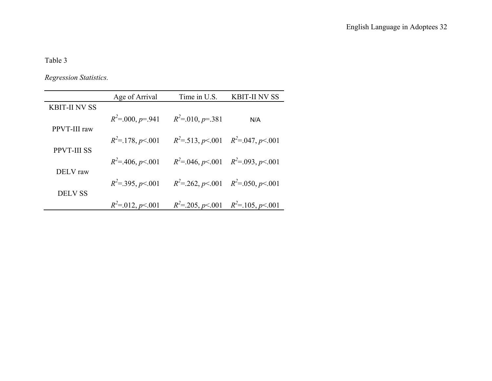*Regression Statistics.* 

|                      | Age of Arrival       | Time in U.S.        | <b>KBIT-II NV SS</b>                                  |
|----------------------|----------------------|---------------------|-------------------------------------------------------|
| <b>KBIT-II NV SS</b> |                      |                     |                                                       |
|                      | $R^2 = 000, p = 941$ | $R^2$ =.010, p=.381 | N/A                                                   |
| PPVT-III raw         |                      |                     |                                                       |
|                      | $R^2 = 178, p < 001$ |                     | $R^2$ =.513, p <.001 $R^2$ =.047, p <.001             |
| <b>PPVT-III SS</b>   |                      |                     |                                                       |
|                      | $R^2 = 406, p < 001$ |                     | $R^2 = 0.046, p \le 0.001$ $R^2 = 0.093, p \le 0.001$ |
| DELV raw             |                      |                     |                                                       |
|                      | $R^2 = 395, p < 001$ |                     | $R^2 = 262$ , $p < 001$ $R^2 = 0.050$ , $p < 001$     |
| <b>DELV SS</b>       |                      |                     |                                                       |
|                      | $R^2 = 012, p < 001$ |                     | $R^2 = 205$ , $p < 001$ $R^2 = 105$ , $p < 001$       |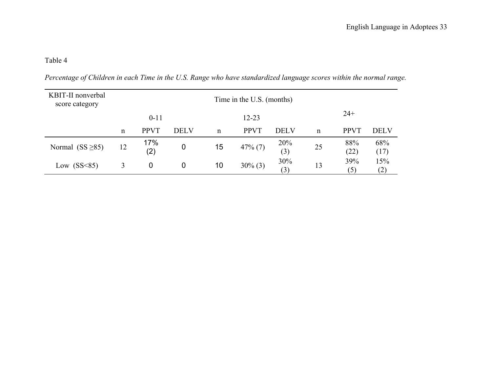*Percentage of Children in each Time in the U.S. Range who have standardized language scores within the normal range.*

| KBIT-II nonverbal<br>score category | Time in the U.S. (months) |             |             |             |             |             |    |             |             |
|-------------------------------------|---------------------------|-------------|-------------|-------------|-------------|-------------|----|-------------|-------------|
|                                     |                           | $0 - 11$    |             |             | $12 - 23$   |             |    | $24+$       |             |
|                                     | n                         | <b>PPVT</b> | <b>DELV</b> | $\mathbf n$ | <b>PPVT</b> | <b>DELV</b> | n  | <b>PPVT</b> | <b>DELV</b> |
| Normal $(SS \ge 85)$                | 12                        | 17%<br>(2)  | 0           | 15          | $47\%$ (7)  | 20%<br>(3)  | 25 | 88%<br>(22) | 68%<br>(17) |
| Low $(SS<85)$                       | 3                         | 0           | 0           | 10          | $30\%$ (3)  | 30%<br>(3)  | 13 | 39%<br>(5)  | 15%<br>(2)  |